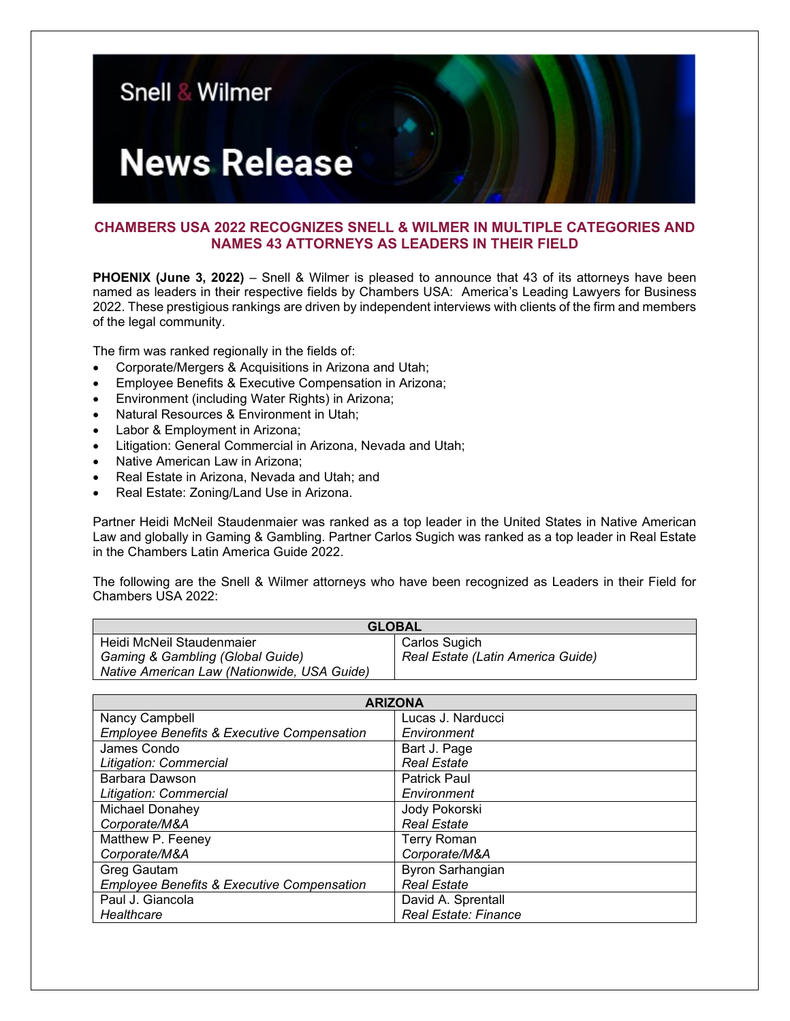

## **CHAMBERS USA 2022 RECOGNIZES SNELL & WILMER IN MULTIPLE CATEGORIES AND NAMES 43 ATTORNEYS AS LEADERS IN THEIR FIELD**

**PHOENIX (June 3, 2022)** – Snell & Wilmer is pleased to announce that 43 of its attorneys have been named as leaders in their respective fields by Chambers USA: America's Leading Lawyers for Business 2022. These prestigious rankings are driven by independent interviews with clients of the firm and members of the legal community.

The firm was ranked regionally in the fields of:

- Corporate/Mergers & Acquisitions in Arizona and Utah;
- Employee Benefits & Executive Compensation in Arizona;
- Environment (including Water Rights) in Arizona;
- Natural Resources & Environment in Utah;
- Labor & Employment in Arizona;
- Litigation: General Commercial in Arizona, Nevada and Utah;
- Native American Law in Arizona;
- Real Estate in Arizona, Nevada and Utah; and
- Real Estate: Zoning/Land Use in Arizona.

Partner Heidi McNeil Staudenmaier was ranked as a top leader in the United States in Native American Law and globally in Gaming & Gambling. Partner Carlos Sugich was ranked as a top leader in Real Estate in the Chambers Latin America Guide 2022.

The following are the Snell & Wilmer attorneys who have been recognized as Leaders in their Field for Chambers USA 2022:

| <b>GLOBAL</b>                               |                                   |  |
|---------------------------------------------|-----------------------------------|--|
| Heidi McNeil Staudenmaier                   | Carlos Sugich                     |  |
| Gaming & Gambling (Global Guide)            | Real Estate (Latin America Guide) |  |
| Native American Law (Nationwide, USA Guide) |                                   |  |

| <b>ARIZONA</b>                                        |                      |  |
|-------------------------------------------------------|----------------------|--|
| Nancy Campbell                                        | Lucas J. Narducci    |  |
| <b>Employee Benefits &amp; Executive Compensation</b> | Environment          |  |
| James Condo                                           | Bart J. Page         |  |
| Litigation: Commercial                                | <b>Real Estate</b>   |  |
| Barbara Dawson                                        | <b>Patrick Paul</b>  |  |
| Litigation: Commercial                                | Environment          |  |
| Michael Donahey                                       | Jody Pokorski        |  |
| Corporate/M&A                                         | <b>Real Estate</b>   |  |
| Matthew P. Feeney                                     | <b>Terry Roman</b>   |  |
| Corporate/M&A                                         | Corporate/M&A        |  |
| Greg Gautam                                           | Byron Sarhangian     |  |
| <b>Employee Benefits &amp; Executive Compensation</b> | <b>Real Estate</b>   |  |
| Paul J. Giancola                                      | David A. Sprentall   |  |
| Healthcare                                            | Real Estate: Finance |  |